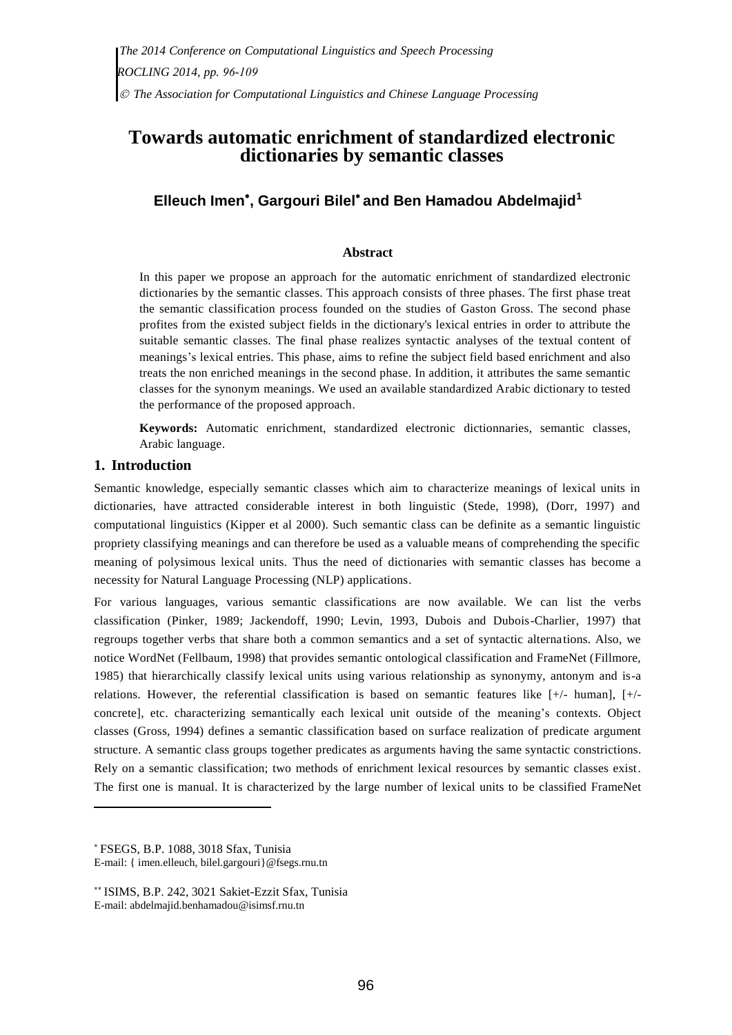# **Towards automatic enrichment of standardized electronic dictionaries by semantic classes**

# **Elleuch Imen , Gargouri Bilel and Ben Hamadou Abdelmajid<sup>1</sup>**

## **Abstract**

In this paper we propose an approach for the automatic enrichment of standardized electronic dictionaries by the semantic classes. This approach consists of three phases. The first phase treat the semantic classification process founded on the studies of Gaston Gross. The second phase profites from the existed subject fields in the dictionary's lexical entries in order to attribute the suitable semantic classes. The final phase realizes syntactic analyses of the textual content of meanings's lexical entries. This phase, aims to refine the subject field based enrichment and also treats the non enriched meanings in the second phase. In addition, it attributes the same semantic classes for the synonym meanings. We used an available standardized Arabic dictionary to tested the performance of the proposed approach.

**Keywords:** Automatic enrichment, standardized electronic dictionnaries, semantic classes, Arabic language.

### **1. Introduction**

Semantic knowledge, especially semantic classes which aim to characterize meanings of lexical units in dictionaries, have attracted considerable interest in both linguistic (Stede, 1998), (Dorr, 1997) and computational linguistics (Kipper et al 2000). Such semantic class can be definite as a semantic linguistic propriety classifying meanings and can therefore be used as a valuable means of comprehending the specific meaning of polysimous lexical units. Thus the need of dictionaries with semantic classes has become a necessity for Natural Language Processing (NLP) applications.

For various languages, various semantic classifications are now available. We can list the verbs classification (Pinker, 1989; Jackendoff, 1990; Levin, 1993, Dubois and Dubois-Charlier, 1997) that regroups together verbs that share both a common semantics and a set of syntactic alternations. Also, we notice WordNet (Fellbaum, 1998) that provides semantic ontological classification and FrameNet (Fillmore, 1985) that hierarchically classify lexical units using various relationship as synonymy, antonym and is-a relations. However, the referential classification is based on semantic features like [+/- human], [+/ concrete], etc. characterizing semantically each lexical unit outside of the meaning's contexts. Object classes (Gross, 1994) defines a semantic classification based on surface realization of predicate argument structure. A semantic class groups together predicates as arguments having the same syntactic constrictions. Rely on a semantic classification; two methods of enrichment lexical resources by semantic classes exist. The first one is manual. It is characterized by the large number of lexical units to be classified FrameNet

FSEGS, B.P. 1088, 3018 Sfax, Tunisia E-mail: { imen.elleuch, bilel.gargouri}@fsegs.rnu.tn

ISIMS, B.P. 242, 3021 Sakiet-Ezzit Sfax, Tunisia E-mail: abdelmajid.benhamadou@isimsf.rnu.tn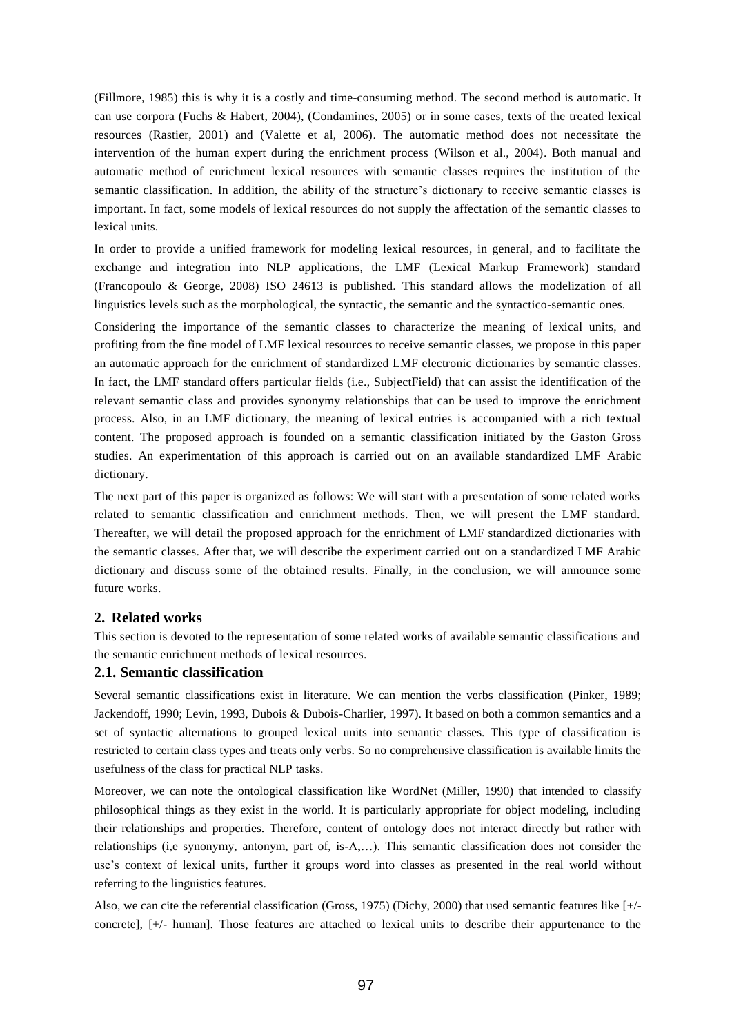(Fillmore, 1985) this is why it is a costly and time-consuming method. The second method is automatic. It can use corpora (Fuchs & Habert, 2004), (Condamines, 2005) or in some cases, texts of the treated lexical resources (Rastier, 2001) and (Valette et al, 2006). The automatic method does not necessitate the intervention of the human expert during the enrichment process (Wilson et al., 2004). Both manual and automatic method of enrichment lexical resources with semantic classes requires the institution of the semantic classification. In addition, the ability of the structure's dictionary to receive semantic classes is important. In fact, some models of lexical resources do not supply the affectation of the semantic classes to lexical units.

In order to provide a unified framework for modeling lexical resources, in general, and to facilitate the exchange and integration into NLP applications, the LMF (Lexical Markup Framework) standard (Francopoulo & George, 2008) ISO 24613 is published. This standard allows the modelization of all linguistics levels such as the morphological, the syntactic, the semantic and the syntactico-semantic ones.

Considering the importance of the semantic classes to characterize the meaning of lexical units, and profiting from the fine model of LMF lexical resources to receive semantic classes, we propose in this paper an automatic approach for the enrichment of standardized LMF electronic dictionaries by semantic classes. In fact, the LMF standard offers particular fields (i.e., SubjectField) that can assist the identification of the relevant semantic class and provides synonymy relationships that can be used to improve the enrichment process. Also, in an LMF dictionary, the meaning of lexical entries is accompanied with a rich textual content. The proposed approach is founded on a semantic classification initiated by the Gaston Gross studies. An experimentation of this approach is carried out on an available standardized LMF Arabic dictionary.

The next part of this paper is organized as follows: We will start with a presentation of some related works related to semantic classification and enrichment methods. Then, we will present the LMF standard. Thereafter, we will detail the proposed approach for the enrichment of LMF standardized dictionaries with the semantic classes. After that, we will describe the experiment carried out on a standardized LMF Arabic dictionary and discuss some of the obtained results. Finally, in the conclusion, we will announce some future works.

## **2. Related works**

This section is devoted to the representation of some related works of available semantic classifications and the semantic enrichment methods of lexical resources.

#### **2.1. Semantic classification**

Several semantic classifications exist in literature. We can mention the verbs classification (Pinker, 1989; Jackendoff, 1990; Levin, 1993, Dubois & Dubois-Charlier, 1997). It based on both a common semantics and a set of syntactic alternations to grouped lexical units into semantic classes. This type of classification is restricted to certain class types and treats only verbs. So no comprehensive classification is available limits the usefulness of the class for practical NLP tasks.

Moreover, we can note the ontological classification like WordNet (Miller, 1990) that intended to classify philosophical things as they exist in the world. It is particularly appropriate for object modeling, including their relationships and properties. Therefore, content of ontology does not interact directly but rather with relationships (i,e synonymy, antonym, part of, is-A,…). This semantic classification does not consider the use's context of lexical units, further it groups word into classes as presented in the real world without referring to the linguistics features.

Also, we can cite the referential classification (Gross, 1975) (Dichy, 2000) that used semantic features like [+/ concrete], [+/- human]. Those features are attached to lexical units to describe their appurtenance to the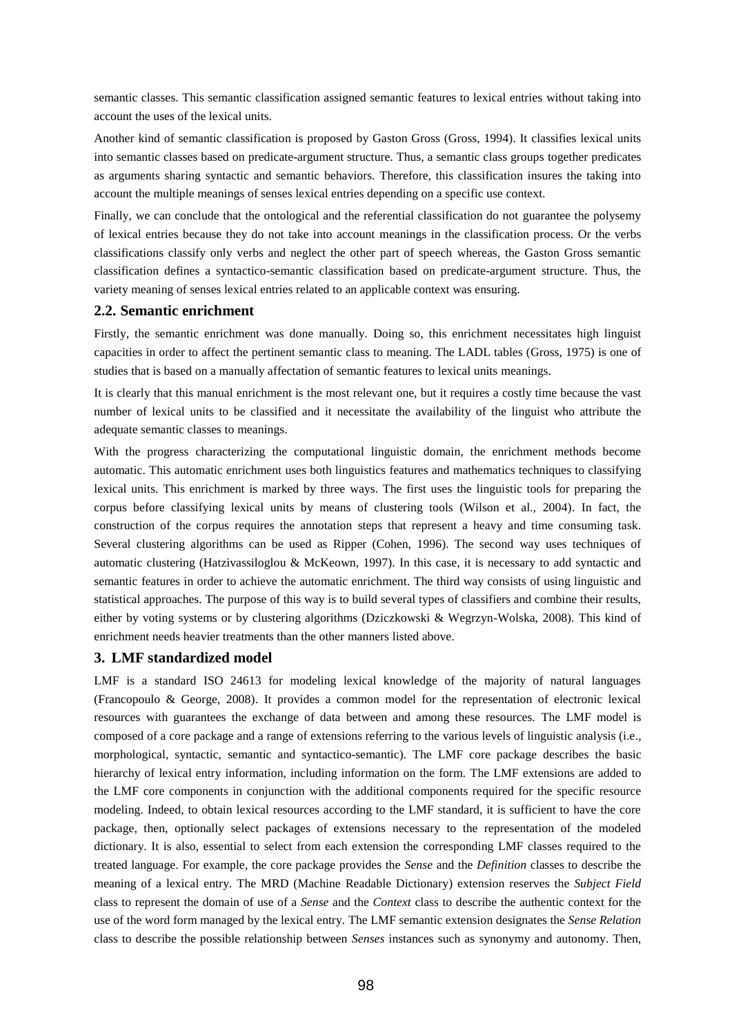semantic classes. This semantic classification assigned semantic features to lexical entries without taking into account the uses of the lexical units.

Another kind of semantic classification is proposed by Gaston Gross (Gross, 1994). It classifies lexical units into semantic classes based on predicate-argument structure. Thus, a semantic class groups together predicates as arguments sharing syntactic and semantic behaviors. Therefore, this classification insures the taking into account the multiple meanings of senses lexical entries depending on a specific use context.

Finally, we can conclude that the ontological and the referential classification do not guarantee the polysemy of lexical entries because they do not take into account meanings in the classification process. Or the verbs classifications classify only verbs and neglect the other part of speech whereas, the Gaston Gross semantic classification defines a syntactico-semantic classification based on predicate-argument structure. Thus, the variety meaning of senses lexical entries related to an applicable context was ensuring.

#### **2.2. Semantic enrichment**

Firstly, the semantic enrichment was done manually. Doing so, this enrichment necessitates high linguist capacities in order to affect the pertinent semantic class to meaning. The LADL tables (Gross, 1975) is one of studies that is based on a manually affectation of semantic features to lexical units meanings.

It is clearly that this manual enrichment is the most relevant one, but it requires a costly time because the vast number of lexical units to be classified and it necessitate the availability of the linguist who attribute the adequate semantic classes to meanings.

With the progress characterizing the computational linguistic domain, the enrichment methods become automatic. This automatic enrichment uses both linguistics features and mathematics techniques to classifying lexical units. This enrichment is marked by three ways. The first uses the linguistic tools for preparing the corpus before classifying lexical units by means of clustering tools (Wilson et al., 2004). In fact, the construction of the corpus requires the annotation steps that represent a heavy and time consuming task. Several clustering algorithms can be used as Ripper (Cohen, 1996). The second way uses techniques of automatic clustering (Hatzivassiloglou & McKeown, 1997). In this case, it is necessary to add syntactic and semantic features in order to achieve the automatic enrichment. The third way consists of using linguistic and statistical approaches. The purpose of this way is to build several types of classifiers and combine their results, either by voting systems or by clustering algorithms (Dziczkowski & Wegrzyn-Wolska, 2008). This kind of enrichment needs heavier treatments than the other manners listed above.

#### **3. LMF standardized model**

LMF is a standard ISO 24613 for modeling lexical knowledge of the majority of natural languages (Francopoulo & George, 2008). It provides a common model for the representation of electronic lexical resources with guarantees the exchange of data between and among these resources. The LMF model is composed of a core package and a range of extensions referring to the various levels of linguistic analysis (i.e., morphological, syntactic, semantic and syntactico-semantic). The LMF core package describes the basic hierarchy of lexical entry information, including information on the form. The LMF extensions are added to the LMF core components in conjunction with the additional components required for the specific resource modeling. Indeed, to obtain lexical resources according to the LMF standard, it is sufficient to have the core package, then, optionally select packages of extensions necessary to the representation of the modeled dictionary. It is also, essential to select from each extension the corresponding LMF classes required to the treated language. For example, the core package provides the *Sense* and the *Definition* classes to describe the meaning of a lexical entry. The MRD (Machine Readable Dictionary) extension reserves the *Subject Field* class to represent the domain of use of a *Sense* and the *Context* class to describe the authentic context for the use of the word form managed by the lexical entry. The LMF semantic extension designates the *Sense Relation* class to describe the possible relationship between *Senses* instances such as synonymy and autonomy. Then,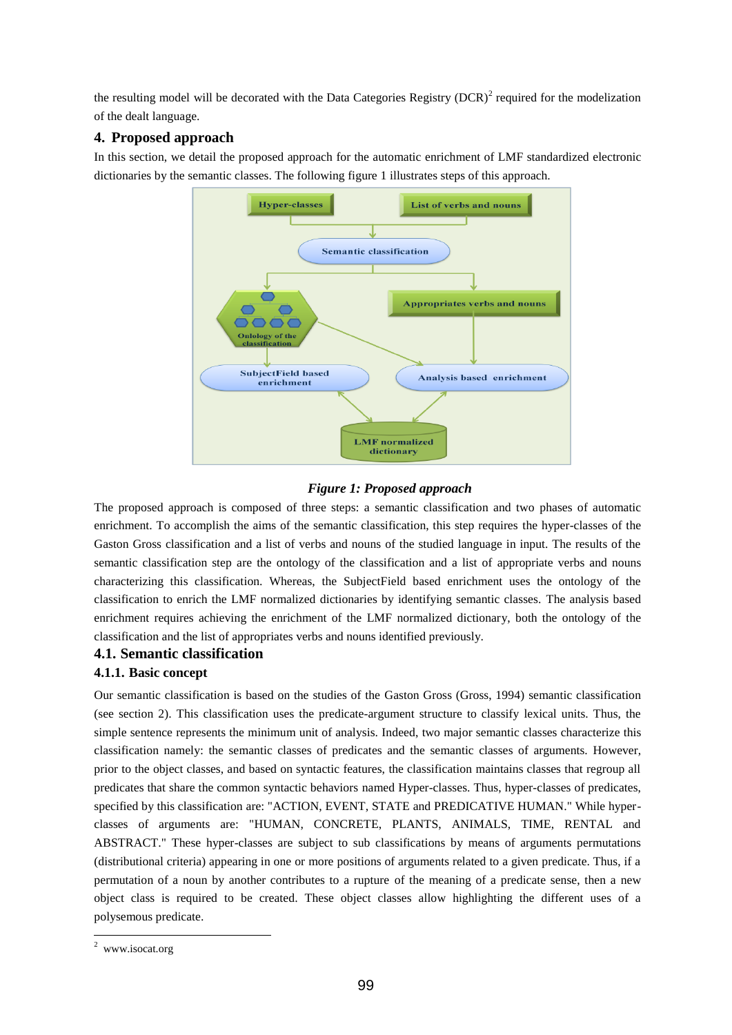the resulting model will be decorated with the Data Categories Registry  $(DCR)^2$  required for the modelization of the dealt language.

# **4. Proposed approach**

In this section, we detail the proposed approach for the automatic enrichment of LMF standardized electronic dictionaries by the semantic classes. The following figure 1 illustrates steps of this approach.



## *Figure 1: Proposed approach*

The proposed approach is composed of three steps: a semantic classification and two phases of automatic enrichment. To accomplish the aims of the semantic classification, this step requires the hyper-classes of the Gaston Gross classification and a list of verbs and nouns of the studied language in input. The results of the semantic classification step are the ontology of the classification and a list of appropriate verbs and nouns characterizing this classification. Whereas, the SubjectField based enrichment uses the ontology of the classification to enrich the LMF normalized dictionaries by identifying semantic classes. The analysis based enrichment requires achieving the enrichment of the LMF normalized dictionary, both the ontology of the classification and the list of appropriates verbs and nouns identified previously.

## **4.1. Semantic classification**

## **4.1.1. Basic concept**

Our semantic classification is based on the studies of the Gaston Gross (Gross, 1994) semantic classification (see section 2). This classification uses the predicate-argument structure to classify lexical units. Thus, the simple sentence represents the minimum unit of analysis. Indeed, two major semantic classes characterize this classification namely: the semantic classes of predicates and the semantic classes of arguments. However, prior to the object classes, and based on syntactic features, the classification maintains classes that regroup all predicates that share the common syntactic behaviors named Hyper-classes. Thus, hyper-classes of predicates, specified by this classification are: "ACTION, EVENT, STATE and PREDICATIVE HUMAN." While hyperclasses of arguments are: "HUMAN, CONCRETE, PLANTS, ANIMALS, TIME, RENTAL and ABSTRACT." These hyper-classes are subject to sub classifications by means of arguments permutations (distributional criteria) appearing in one or more positions of arguments related to a given predicate. Thus, if a permutation of a noun by another contributes to a rupture of the meaning of a predicate sense, then a new object class is required to be created. These object classes allow highlighting the different uses of a polysemous predicate.

<sup>&</sup>lt;sup>2</sup> www.isocat.org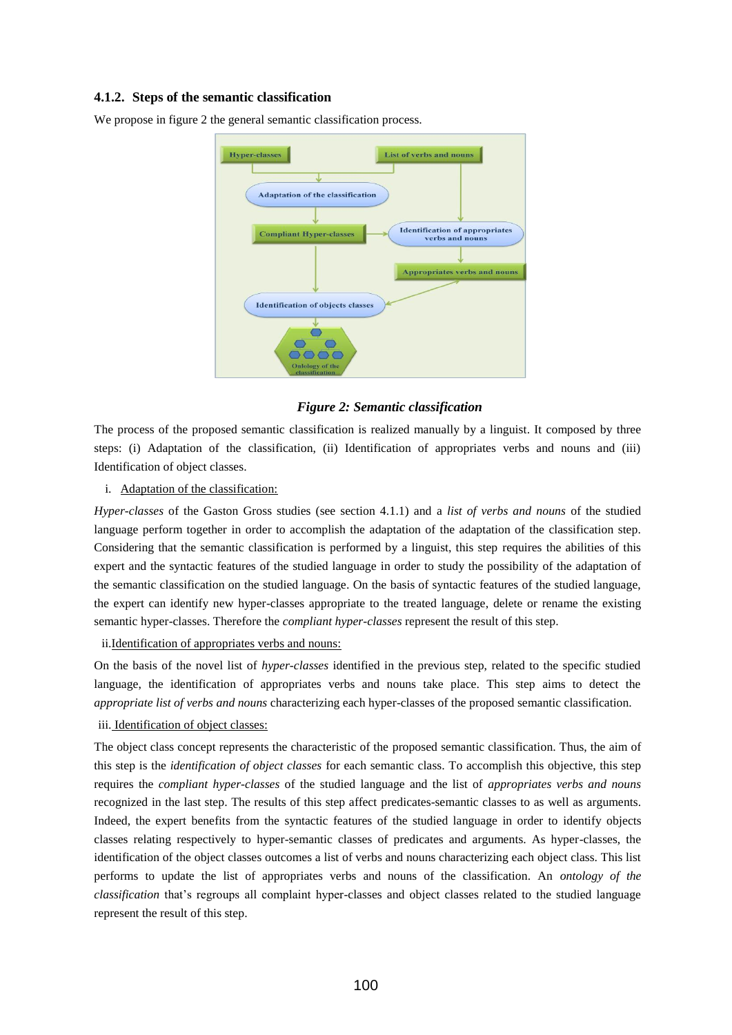#### **4.1.2. Steps of the semantic classification**

We propose in figure 2 the general semantic classification process.



#### *Figure 2: Semantic classification*

The process of the proposed semantic classification is realized manually by a linguist. It composed by three steps: (i) Adaptation of the classification, (ii) Identification of appropriates verbs and nouns and (iii) Identification of object classes.

i. Adaptation of the classification:

*Hyper-classes* of the Gaston Gross studies (see section 4.1.1) and a *list of verbs and nouns* of the studied language perform together in order to accomplish the adaptation of the adaptation of the classification step. Considering that the semantic classification is performed by a linguist, this step requires the abilities of this expert and the syntactic features of the studied language in order to study the possibility of the adaptation of the semantic classification on the studied language. On the basis of syntactic features of the studied language, the expert can identify new hyper-classes appropriate to the treated language, delete or rename the existing semantic hyper-classes. Therefore the *compliant hyper-classes* represent the result of this step.

ii.Identification of appropriates verbs and nouns:

On the basis of the novel list of *hyper-classes* identified in the previous step, related to the specific studied language, the identification of appropriates verbs and nouns take place. This step aims to detect the *appropriate list of verbs and nouns* characterizing each hyper-classes of the proposed semantic classification.

iii. Identification of object classes:

The object class concept represents the characteristic of the proposed semantic classification. Thus, the aim of this step is the *identification of object classes* for each semantic class. To accomplish this objective, this step requires the *compliant hyper-classes* of the studied language and the list of *appropriates verbs and nouns* recognized in the last step. The results of this step affect predicates-semantic classes to as well as arguments. Indeed, the expert benefits from the syntactic features of the studied language in order to identify objects classes relating respectively to hyper-semantic classes of predicates and arguments. As hyper-classes, the identification of the object classes outcomes a list of verbs and nouns characterizing each object class. This list performs to update the list of appropriates verbs and nouns of the classification. An *ontology of the classification* that's regroups all complaint hyper-classes and object classes related to the studied language represent the result of this step.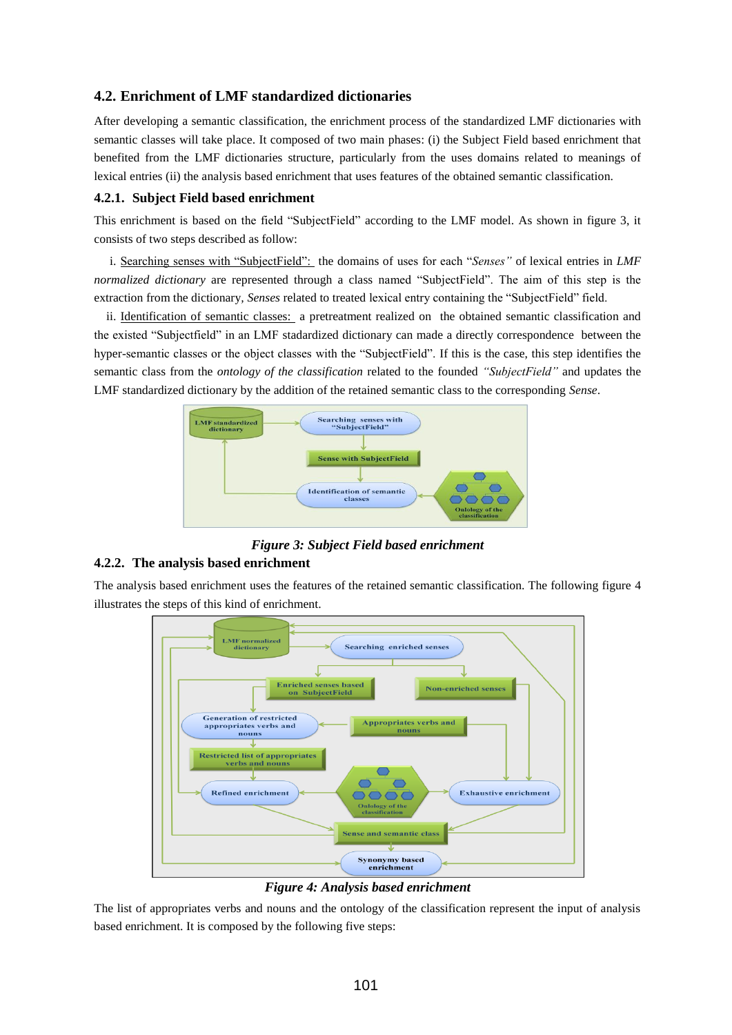## **4.2. Enrichment of LMF standardized dictionaries**

After developing a semantic classification, the enrichment process of the standardized LMF dictionaries with semantic classes will take place. It composed of two main phases: (i) the Subject Field based enrichment that benefited from the LMF dictionaries structure, particularly from the uses domains related to meanings of lexical entries (ii) the analysis based enrichment that uses features of the obtained semantic classification.

#### **4.2.1. Subject Field based enrichment**

This enrichment is based on the field "SubjectField" according to the LMF model. As shown in figure 3, it consists of two steps described as follow:

i. Searching senses with "SubjectField": the domains of uses for each "*Senses"* of lexical entries in *LMF normalized dictionary* are represented through a class named "SubjectField". The aim of this step is the extraction from the dictionary*, Senses* related to treated lexical entry containing the "SubjectField" field.

ii. Identification of semantic classes: a pretreatment realized on the obtained semantic classification and the existed "Subjectfield" in an LMF stadardized dictionary can made a directly correspondence between the hyper-semantic classes or the object classes with the "SubjectField". If this is the case, this step identifies the semantic class from the *ontology of the classification* related to the founded *"SubjectField"* and updates the LMF standardized dictionary by the addition of the retained semantic class to the corresponding *Sense*.



*Figure 3: Subject Field based enrichment* 

#### **4.2.2. The analysis based enrichment**

The analysis based enrichment uses the features of the retained semantic classification. The following figure 4 illustrates the steps of this kind of enrichment.



*Figure 4: Analysis based enrichment*

The list of appropriates verbs and nouns and the ontology of the classification represent the input of analysis based enrichment. It is composed by the following five steps: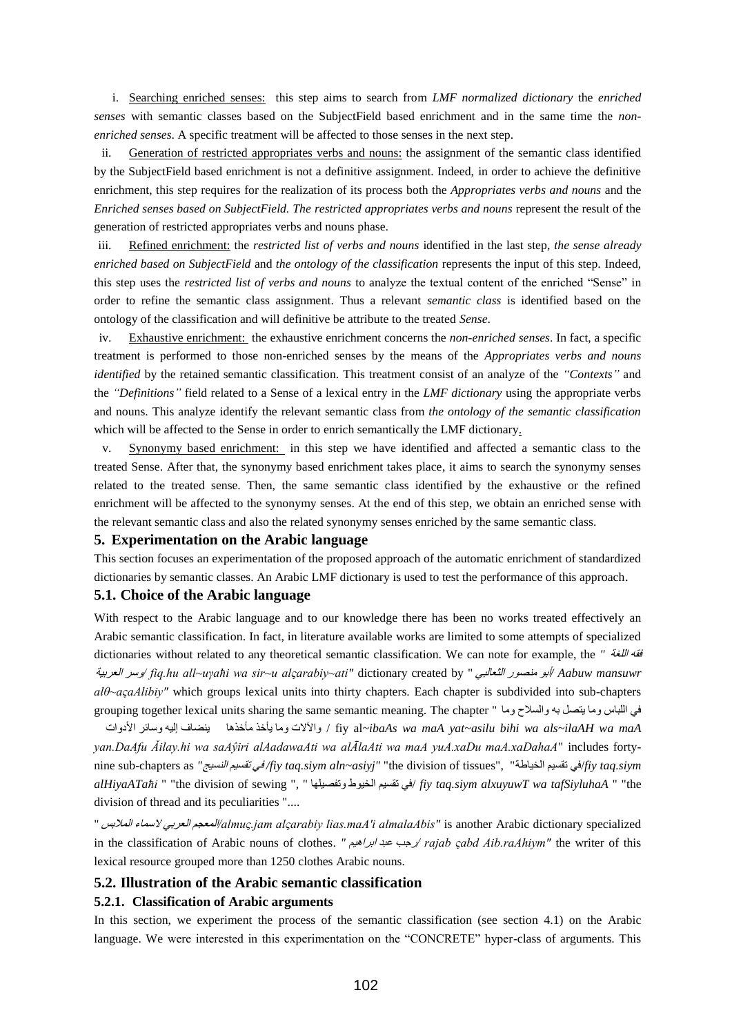i. Searching enriched senses: this step aims to search from *LMF normalized dictionary* the *enriched senses* with semantic classes based on the SubjectField based enrichment and in the same time the *nonenriched senses*. A specific treatment will be affected to those senses in the next step.

ii. Generation of restricted appropriates verbs and nouns: the assignment of the semantic class identified by the SubjectField based enrichment is not a definitive assignment. Indeed, in order to achieve the definitive enrichment, this step requires for the realization of its process both the *Appropriates verbs and nouns* and the *Enriched senses based on SubjectField. The restricted appropriates verbs and nouns* represent the result of the generation of restricted appropriates verbs and nouns phase.

iii. Refined enrichment: the *restricted list of verbs and nouns* identified in the last step, *the sense already enriched based on SubjectField* and *the ontology of the classification* represents the input of this step*.* Indeed, this step uses the *restricted list of verbs and nouns* to analyze the textual content of the enriched "Sense" in order to refine the semantic class assignment. Thus a relevant *semantic class* is identified based on the ontology of the classification and will definitive be attribute to the treated *Sense*.

iv. Exhaustive enrichment: the exhaustive enrichment concerns the *non-enriched senses*. In fact, a specific treatment is performed to those non-enriched senses by the means of the *Appropriates verbs and nouns identified* by the retained semantic classification. This treatment consist of an analyze of the *"Contexts"* and the *"Definitions"* field related to a Sense of a lexical entry in the *LMF dictionary* using the appropriate verbs and nouns. This analyze identify the relevant semantic class from *the ontology of the semantic classification* which will be affected to the Sense in order to enrich semantically the LMF dictionary.

v. Synonymy based enrichment: in this step we have identified and affected a semantic class to the treated Sense. After that, the synonymy based enrichment takes place, it aims to search the synonymy senses related to the treated sense. Then, the same semantic class identified by the exhaustive or the refined enrichment will be affected to the synonymy senses. At the end of this step, we obtain an enriched sense with the relevant semantic class and also the related synonymy senses enriched by the same semantic class.

#### **5. Experimentation on the Arabic language**

This section focuses an experimentation of the proposed approach of the automatic enrichment of standardized dictionaries by semantic classes. An Arabic LMF dictionary is used to test the performance of this approach.

#### **5.1. Choice of the Arabic language**

With respect to the Arabic language and to our knowledge there has been no works treated effectively an Arabic semantic classification. In fact, in literature available works are limited to some attempts of specialized dictionaries without related to any theoretical semantic classification. We can note for example, the *"* اللغح فقو العزتيح سزً*/ fiq.hu all~uγaħi wa sir~u alςarabiy~ati"* dictionary created by " الثعالثي رٌهنص ٌأت*/ Aabuw mansuwr alθ~aςaAlibiy"* which groups lexical units into thirty chapters. Each chapter is subdivided into sub-chapters grouping together lexical units sharing the same semantic meaning. The chapter " هاً السالحً تو يتصل هاً اللثاس في

 اخًاألد سائزً إليو ينضاف هأخذىا يأخذ هاً اآلالخً / fiy al*~ibaAs wa maA yat~asilu bihi wa als~ilaAH wa maA yan.DaAfu Ǎilay.hi wa saAŷiri alAadawaAti wa alĀlaAti wa maA yuA.xaDu maA.xaDahaA*" includes fortynine sub-chapters as *"*النسيج تقسين في */fiy taq.siym aln~asiyj"* "the division of tissues", "الخياطح تقسين في/*fiy taq.siym alHiyaATaħi* " "the division of sewing ", " تفصيلياً طٌالخي تقسين في/ *fiy taq.siym alxuyuwT wa tafSiyluhaA* " "the division of thread and its peculiarities "....

" الوالتس السواء العزتي الوعجن*/almuς.jam alςarabiy lias.maA'i almalaAbis"* is another Arabic dictionary specialized in the classification of Arabic nouns of clothes. *"* اتزاىين عثذ رجة*/ rajab ςabd Aib.raAhiym"* the writer of this lexical resource grouped more than 1250 clothes Arabic nouns.

#### **5.2. Illustration of the Arabic semantic classification**

#### **5.2.1. Classification of Arabic arguments**

In this section, we experiment the process of the semantic classification (see section 4.1) on the Arabic language. We were interested in this experimentation on the "CONCRETE" hyper-class of arguments. This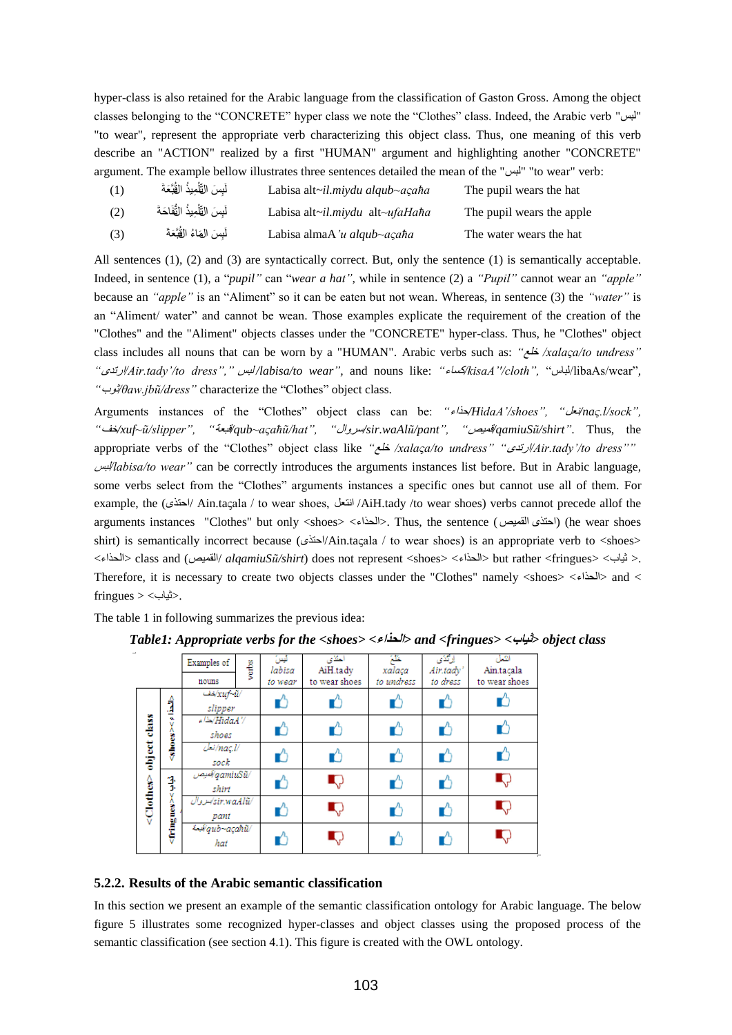hyper-class is also retained for the Arabic language from the classification of Gaston Gross. Among the object classes belonging to the "CONCRETE" hyper class we note the "Clothes" class. Indeed, the Arabic verb "لثس " "to wear", represent the appropriate verb characterizing this object class. Thus, one meaning of this verb describe an "ACTION" realized by a first "HUMAN" argument and highlighting another "CONCRETE" argument. The example bellow illustrates three sentences detailed the mean of the "لثس" "to wear" verb:

سَ التَّلْمِيذُ الْقُبَّعَةَ (1) ا<br>ا عثَل Labisa alt*~il.miydu alqub~aςaħa* The pupil wears the hat سَ التَّلْمِيذُ التَّفَاحَةَ ۖ (2) ا<br>ا عثَل Labisa alt*~il.miydu* alt*~ufaHaħa* The pupil wears the apple لَبِسَ الهَاءُ القُبَّعَةَ (3) عثَل Labisa almaA*'u alqub~aςaħa* The water wears the hat

All sentences (1), (2) and (3) are syntactically correct. But, only the sentence (1) is semantically acceptable. Indeed, in sentence (1), a "*pupil"* can "*wear a hat",* while in sentence (2) a *"Pupil"* cannot wear an *"apple"* because an *"apple"* is an "Aliment" so it can be eaten but not wean. Whereas, in sentence (3) the *"water"* is an "Aliment/ water" and cannot be wean. Those examples explicate the requirement of the creation of the "Clothes" and the "Aliment" objects classes under the "CONCRETE" hyper-class. Thus, he "Clothes" object class includes all nouns that can be worn by a "HUMAN". Arabic verbs such as: *"*خلع */xalaςa/to undress" "*ٍارتذ*/Air.tady'/to dress","* لثس */labisa/to wear",* and nouns like: *"*مساء*/kisaA''/cloth",* "لثاس/libaAs/wear"*, "*بٌث*/θaw.jbũ/dress"* characterize the "Clothes" object class.

Arguments instances of the "Clothes" object class can be: *"*اذاء*/HidaA'/shoes", "*نعل*/naς.l/sock", "*خف*/xuf~ũ/slipper", "*ثعح */qub~aςaħũ/hat", "*الًسز*/sir.waAlũ/pant", "*ويص */qamiuSũ/shirt"*. Thus, the appropriate verbs of the "Clothes" object class like *"*خلع */xalaςa/to undress" "*ٍارتذ*/Air.tady'/to dress""* لثس*/labisa/to wear"* can be correctly introduces the arguments instances list before*.* But in Arabic language, some verbs select from the "Clothes" arguments instances a specific ones but cannot use all of them. For example, the (احتذى/ Ain.taçala / to wear shoes, انتعل /AiH.tady /to wear shoes) verbs cannot precede allof the arguments instances "Clothes" but only <shoes> <الحذاء<. Thus, the sentence (القويص ٍااتذ) (he wear shoes shirt) is semantically incorrect because ( $\frac{d}{dr}$ /Ain.ta $\frac{d}{dr}$  to wear shoes) is an appropriate verb to <shoes> </refirences and (الحذاء> class and (الحذاء> class and (الحذاء / *alqamiuSũ/shirt*) does not represent <shoes> <الحذاء Therefore, it is necessary to create two objects classes under the "Clothes" namely  $\lt$ shoes $>$   $\lt$ l $\lt$ l $\gt$ and  $<$  $fringues$  > <  $\leq$ ثياب $>$ .

The table 1 in following summarizes the previous idea:

|                                        |                                   | Examples of            | verbs | ليس<br>labisa | احتذى<br>AiH.tady | لمخلخ<br>xalaça | ارتذى<br>Air.tady' | انتعل<br>Ain.tacala |
|----------------------------------------|-----------------------------------|------------------------|-------|---------------|-------------------|-----------------|--------------------|---------------------|
|                                        |                                   | nouns                  |       | to wear       | to wear shoes     | to undress      | to dress           | to wear shoes       |
| class<br>object<br><clothes></clothes> | ĵ<br>ó.<br>v<br><shores></shores> | /wi/xuf-ii/<br>slipper |       |               |                   | Ľ               |                    |                     |
|                                        |                                   | /' HidaA\مذاء<br>shoes |       |               |                   | Ľ               |                    | r                   |
|                                        |                                   | /naç.l/نەل<br>sock     |       |               |                   | Ű               |                    | Ľ                   |
|                                        | 挛<br>v<br><fringues></fringues>   | /gamiuSũ/فيص<br>shirt  |       |               | Q                 | Ű               |                    | ņ                   |
|                                        |                                   | /sir.waAlŭ/<br>pant    |       |               | ņ                 | Ľ               |                    | Q                   |
|                                        |                                   | 4.4qub~açahü/<br>hat   |       |               | Ţ,                |                 |                    | I,                  |

*Table1: Appropriate verbs for the <shoes> <***الحذاء** *<and <fringues> <***ثياب** *<object class* 

#### **5.2.2. Results of the Arabic semantic classification**

In this section we present an example of the semantic classification ontology for Arabic language. The below figure 5 illustrates some recognized hyper-classes and object classes using the proposed process of the semantic classification (see section 4.1). This figure is created with the OWL ontology.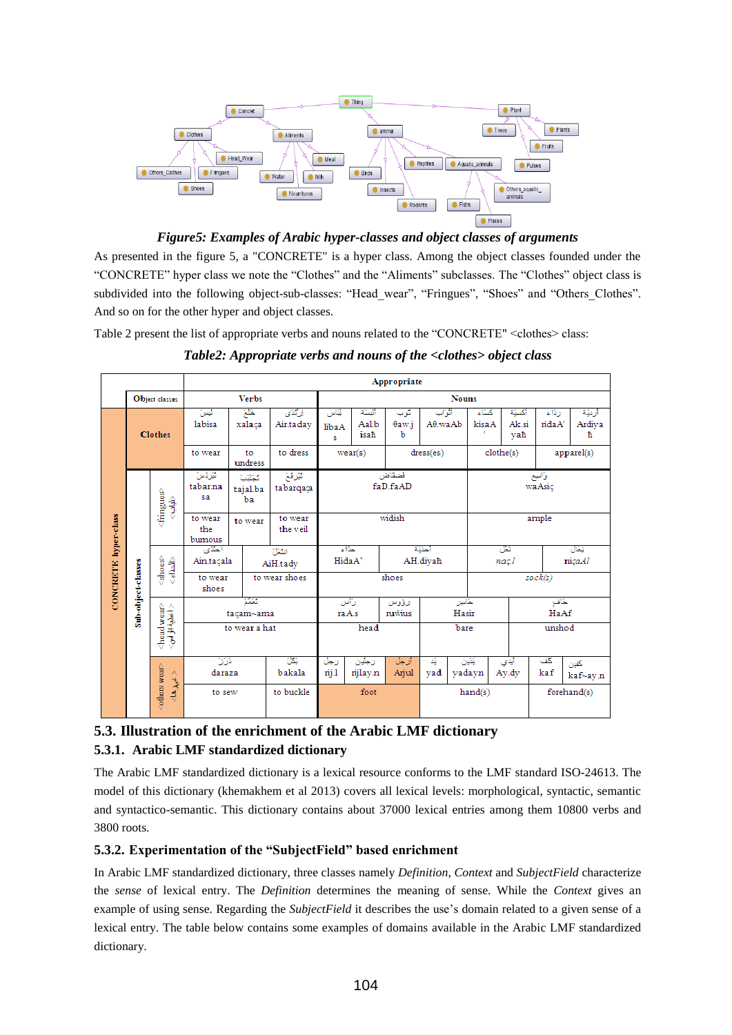

*Figure5: Examples of Arabic hyper-classes and object classes of arguments*

As presented in the figure 5, a "CONCRETE" is a hyper class. Among the object classes founded under the "CONCRETE" hyper class we note the "Clothes" and the "Aliments" subclasses. The "Clothes" object class is subdivided into the following object-sub-classes: "Head wear", "Fringues", "Shoes" and "Others Clothes". And so on for the other hyper and object classes.

Table 2 present the list of appropriate verbs and nouns related to the "CONCRETE" <clothes> class:

|                      |                    | Appropriate                                                |                                            |                         |                     |                                      |                        |                   |                             |                   |                        |                 |                      |
|----------------------|--------------------|------------------------------------------------------------|--------------------------------------------|-------------------------|---------------------|--------------------------------------|------------------------|-------------------|-----------------------------|-------------------|------------------------|-----------------|----------------------|
|                      | Object classes     |                                                            |                                            | <b>Nouns</b>            |                     |                                      |                        |                   |                             |                   |                        |                 |                      |
|                      | <b>Clothes</b>     |                                                            | ليس<br>labisa                              | خلخ<br>xalaca           | الركذي<br>Air.taday | ليَاس<br>libaA<br>s                  | ألسكة<br>Aal.b<br>isah | گوب<br>θaw.i<br>b | أثواب<br>$A\theta$ .wa $Ab$ | كستاء<br>kisaA    | أكسيّة<br>Ak.si<br>vah | رذاء<br>rida A' | أزنية<br>Ardiya<br>ħ |
|                      |                    |                                                            | to wear                                    | to<br>undress           | to dress            | dress(es)<br>wear(s)                 |                        |                   | clothe(s)<br>apparel(s)     |                   |                        |                 |                      |
| CONCRETE hyper-class |                    | <fringues><br/>争<br/>Ŵ</fringues>                          | الأو ذهن<br>tabar.na<br>sa                 | ككلاب<br>tajal.ba<br>ba | توقع<br>tabarqaça   | فتنقاض<br>faD.faAD                   |                        |                   |                             | وأانوح<br>waAsic  |                        |                 |                      |
|                      |                    |                                                            | to wear<br>the<br>bumous                   | to wear                 | to wear<br>the veil | widish                               |                        |                   |                             | ample             |                        |                 |                      |
|                      |                    | $<\!\!\mathrm{sho}\!\!\mathrm{c}\mathrm{s}\!\!\!>$<br>र्वे | المتكون<br>انتثل<br>Ain.tacala<br>AiH.tadv |                         |                     | حذاء<br>أحذيكه<br>HidaA'<br>AH.diyah |                        |                   |                             | ئىل<br>nac.l      |                        | فتكال<br>niçaAl |                      |
|                      | Sub-object-classes |                                                            | to wear<br>shoes                           | to wear shoes           |                     | shoes                                |                        |                   |                             | sock(s)           |                        |                 |                      |
|                      |                    |                                                            | نتقلا<br>tacam~ama                         |                         |                     |                                      | رأس<br>raA.s           | رؤوس<br>ruŵius    | خاس<br>Hasir                |                   |                        | حكاف<br>HaAf    |                      |
|                      |                    | <head wear=""><br/>&lt;اعلیۂاز لوے</head>                  | to wear a hat                              |                         |                     | head                                 |                        |                   | bare                        |                   |                        | unshod          |                      |
|                      |                    |                                                            | أفرك<br>daraza                             |                         | 沤<br>bakala         | رجل<br>nij 1                         | رجلون<br>njlay.n       | أرجل<br>Arjul     | á,<br>yad                   | يَثَيْن<br>yadayn | أيدي<br>Ay.dy          | كف<br>kaf       | كخون<br>kaf~ay.n     |
|                      |                    | <others wear=""><br/>&lt; شهرها&gt;</others>               | to sew                                     |                         | to buckle           |                                      | foot                   |                   |                             | hand(s)           |                        |                 | forehand(s)          |

*Table2: Appropriate verbs and nouns of the <clothes> object class*

# **5.3. Illustration of the enrichment of the Arabic LMF dictionary 5.3.1. Arabic LMF standardized dictionary**

The Arabic LMF standardized dictionary is a lexical resource conforms to the LMF standard ISO-24613. The model of this dictionary (khemakhem et al 2013) covers all lexical levels: morphological, syntactic, semantic and syntactico-semantic. This dictionary contains about 37000 lexical entries among them 10800 verbs and 3800 roots.

## **5.3.2. Experimentation of the "SubjectField" based enrichment**

In Arabic LMF standardized dictionary, three classes namely *Definition*, *Context* and *SubjectField* characterize the *sense* of lexical entry. The *Definition* determines the meaning of sense. While the *Context* gives an example of using sense. Regarding the *SubjectField* it describes the use's domain related to a given sense of a lexical entry. The table below contains some examples of domains available in the Arabic LMF standardized dictionary.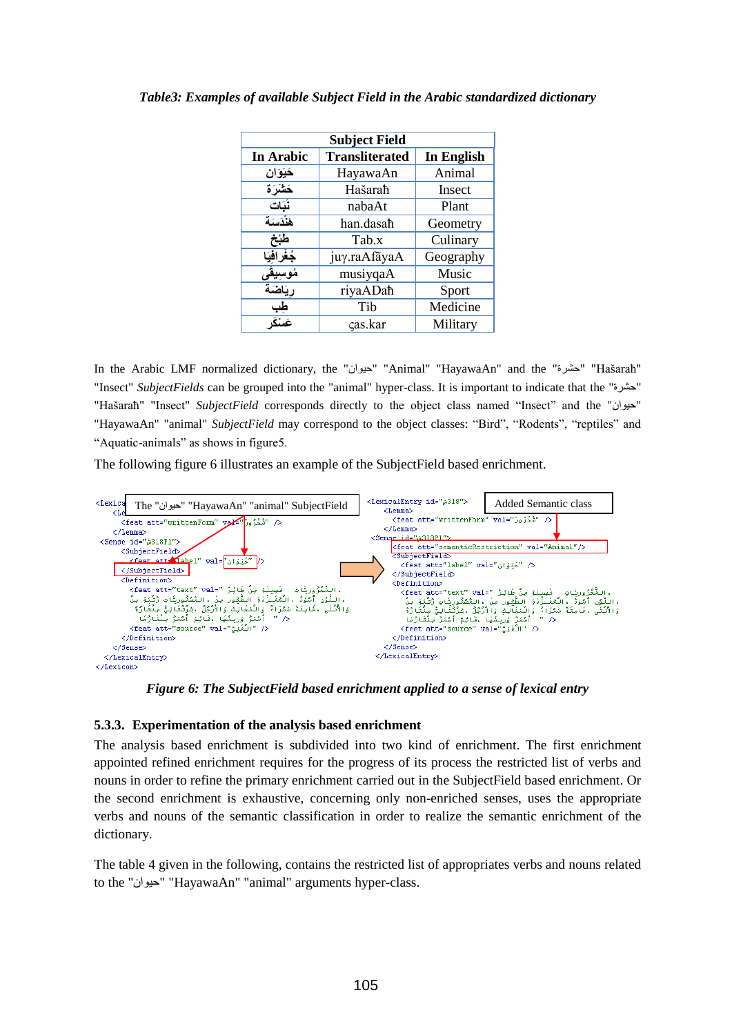| <b>Subject Field</b> |                       |            |  |  |  |  |  |  |
|----------------------|-----------------------|------------|--|--|--|--|--|--|
| In Arabic            | <b>Transliterated</b> | In English |  |  |  |  |  |  |
| حَيَوَان             | HayawaAn              | Animal     |  |  |  |  |  |  |
| خشَرَة               | Hašarah               | Insect     |  |  |  |  |  |  |
| نُبَات               | nabaAt                | Plant      |  |  |  |  |  |  |
| هَنْدَسَة            | han.dasah             | Geometry   |  |  |  |  |  |  |
| طبخ                  | Tab.x                 | Culinary   |  |  |  |  |  |  |
| جُغْرافيَا           | juy.raAfãyaA          | Geography  |  |  |  |  |  |  |
| <u>مُوسِيقَى</u>     | musiyqaA              | Music      |  |  |  |  |  |  |
| ريَاضَة              | riyaADaħ              | Sport      |  |  |  |  |  |  |
|                      | Tib                   | Medicine   |  |  |  |  |  |  |
|                      | cas.kar               | Military   |  |  |  |  |  |  |

*Table3: Examples of available Subject Field in the Arabic standardized dictionary*

In the Arabic LMF normalized dictionary, the "اىٌاي" "Animal" "HayawaAn" and the "اشزج" "Hašaraħ" "Insect" *SubjectFields* can be grouped into the "animal" hyper-class. It is important to indicate that the "اشزج " "Hašaraħ" "Insect" *SubjectField* corresponds directly to the object class named "Insect" and the " "HayawaAn" "animal" *SubjectField* may correspond to the object classes: "Bird", "Rodents", "reptiles" and "Aquatic-animals" as shows in figure5.

The following figure 6 illustrates an example of the SubjectField based enrichment.



*Figure 6: The SubjectField based enrichment applied to a sense of lexical entry*

## **5.3.3. Experimentation of the analysis based enrichment**

The analysis based enrichment is subdivided into two kind of enrichment. The first enrichment appointed refined enrichment requires for the progress of its process the restricted list of verbs and nouns in order to refine the primary enrichment carried out in the SubjectField based enrichment. Or the second enrichment is exhaustive, concerning only non-enriched senses, uses the appropriate verbs and nouns of the semantic classification in order to realize the semantic enrichment of the dictionary.

The table 4 given in the following, contains the restricted list of appropriates verbs and nouns related to the "اىٌاي" "HayawaAn" "animal" arguments hyper-class.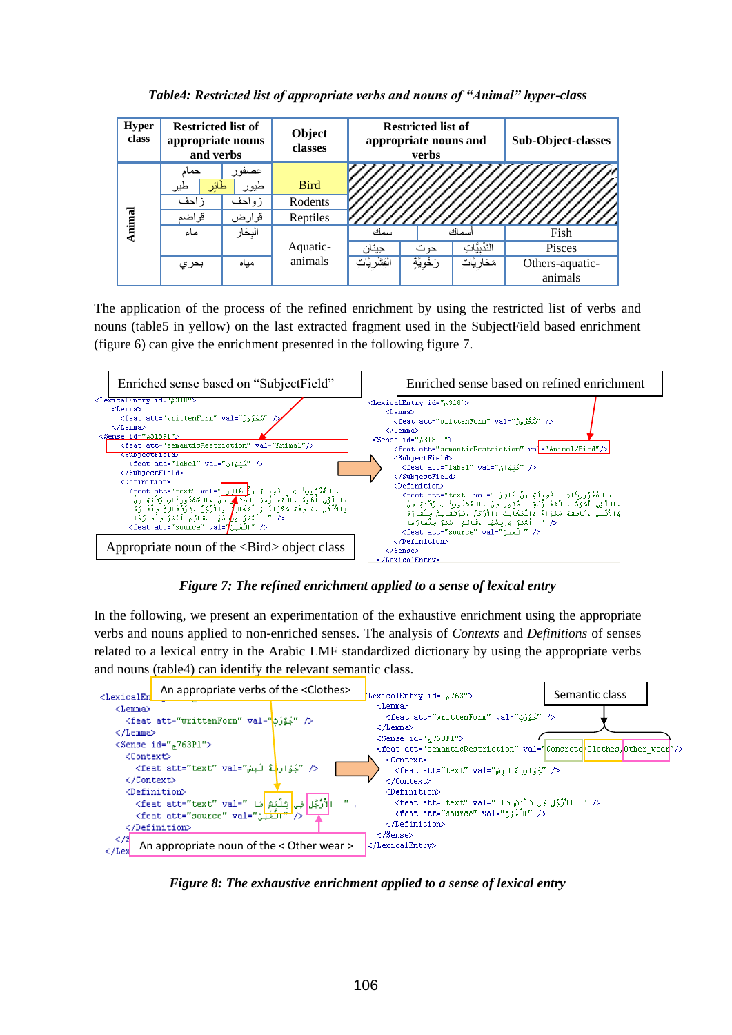| <b>Hyper</b><br>class | <b>Restricted list of</b><br>appropriate nouns<br>and verbs |          | Object<br>classes |                | <b>Restricted list of</b><br>appropriate nouns and<br>verbs | Sub-Object-classes |                     |
|-----------------------|-------------------------------------------------------------|----------|-------------------|----------------|-------------------------------------------------------------|--------------------|---------------------|
|                       | حمام                                                        | عصفو ر   |                   |                |                                                             |                    |                     |
| Animal                | لمأثر<br>طير                                                | طيو ر    | <b>Bird</b>       |                |                                                             |                    |                     |
|                       | زاحف                                                        | زواحف    | Rodents           |                |                                                             |                    |                     |
|                       | قواضم                                                       | قوارض    | Reptiles          |                |                                                             |                    | 'Ц <u>ИИНИН</u> ИНА |
|                       | ماء                                                         | البِحَار |                   | سمك            |                                                             | أسمأك              | Fish                |
|                       |                                                             |          | Aquatic-          | حيتان          | حوت                                                         | الثَّنْبِيَّاتِ    | Pisces              |
|                       | بحري                                                        | مباه     | animals           | القِشْرِيَّاتِ | رَخْويَّةٍ                                                  | مَحَار يَّابَ      | Others-aquatic-     |
|                       |                                                             |          |                   |                |                                                             |                    | animals             |

*Table4: Restricted list of appropriate verbs and nouns of "Animal" hyper-class*

The application of the process of the refined enrichment by using the restricted list of verbs and nouns (table5 in yellow) on the last extracted fragment used in the SubjectField based enrichment (figure 6) can give the enrichment presented in the following figure 7.



*Figure 7: The refined enrichment applied to a sense of lexical entry*

In the following, we present an experimentation of the exhaustive enrichment using the appropriate verbs and nouns applied to non-enriched senses. The analysis of *Contexts* and *Definitions* of senses related to a lexical entry in the Arabic LMF standardized dictionary by using the appropriate verbs and nouns (table4) can identify the relevant semantic class.



Figure 8: The exhaustive enrichment applied to a sense of lexical entry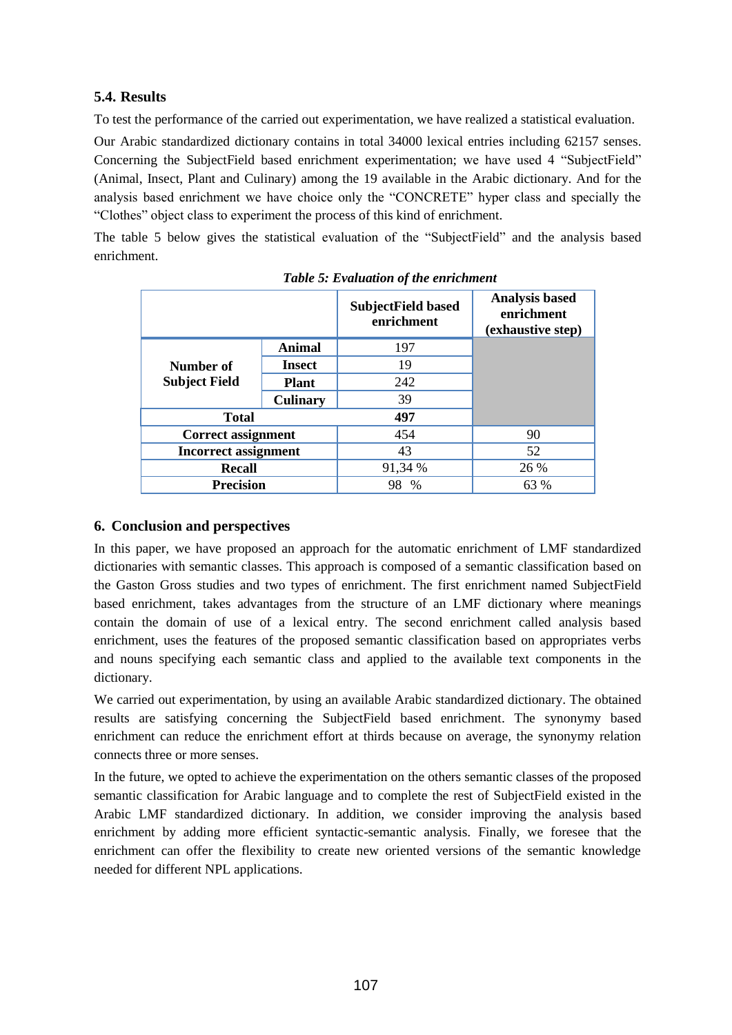# **5.4. Results**

To test the performance of the carried out experimentation, we have realized a statistical evaluation.

Our Arabic standardized dictionary contains in total 34000 lexical entries including 62157 senses. Concerning the SubjectField based enrichment experimentation; we have used 4 "SubjectField" (Animal, Insect, Plant and Culinary) among the 19 available in the Arabic dictionary. And for the analysis based enrichment we have choice only the "CONCRETE" hyper class and specially the "Clothes" object class to experiment the process of this kind of enrichment.

The table 5 below gives the statistical evaluation of the "SubjectField" and the analysis based enrichment.

|                             |                 | <b>SubjectField based</b><br>enrichment | <b>Analysis based</b><br>enrichment<br>(exhaustive step) |
|-----------------------------|-----------------|-----------------------------------------|----------------------------------------------------------|
|                             | <b>Animal</b>   | 197                                     |                                                          |
| Number of                   | <b>Insect</b>   | 19                                      |                                                          |
| <b>Subject Field</b>        | <b>Plant</b>    | 242                                     |                                                          |
|                             | <b>Culinary</b> | 39                                      |                                                          |
| <b>Total</b>                |                 | 497                                     |                                                          |
| <b>Correct assignment</b>   |                 | 454                                     | 90                                                       |
| <b>Incorrect assignment</b> |                 | 43                                      | 52                                                       |
| <b>Recall</b>               |                 | 91,34 %                                 | 26 %                                                     |
| <b>Precision</b>            |                 | 98<br>$\frac{0}{0}$                     | 63 %                                                     |

# **6. Conclusion and perspectives**

In this paper, we have proposed an approach for the automatic enrichment of LMF standardized dictionaries with semantic classes. This approach is composed of a semantic classification based on the Gaston Gross studies and two types of enrichment. The first enrichment named SubjectField based enrichment, takes advantages from the structure of an LMF dictionary where meanings contain the domain of use of a lexical entry. The second enrichment called analysis based enrichment, uses the features of the proposed semantic classification based on appropriates verbs and nouns specifying each semantic class and applied to the available text components in the dictionary.

We carried out experimentation, by using an available Arabic standardized dictionary. The obtained results are satisfying concerning the SubjectField based enrichment. The synonymy based enrichment can reduce the enrichment effort at thirds because on average, the synonymy relation connects three or more senses.

In the future, we opted to achieve the experimentation on the others semantic classes of the proposed semantic classification for Arabic language and to complete the rest of SubjectField existed in the Arabic LMF standardized dictionary. In addition, we consider improving the analysis based enrichment by adding more efficient syntactic-semantic analysis. Finally, we foresee that the enrichment can offer the flexibility to create new oriented versions of the semantic knowledge needed for different NPL applications.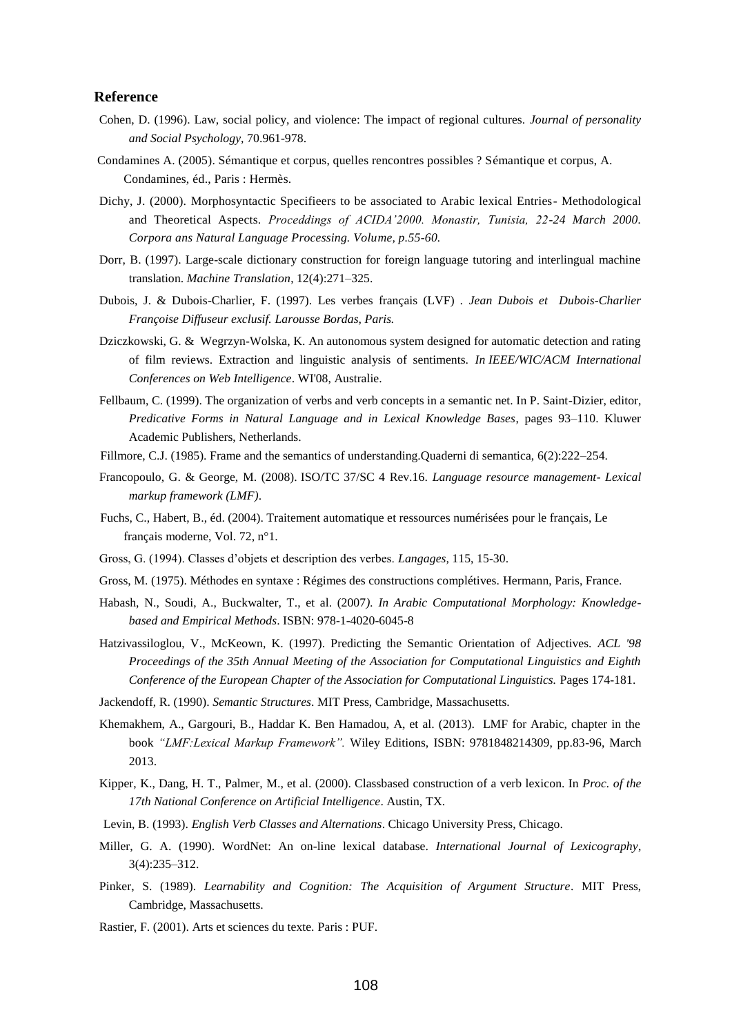### **Reference**

- Cohen, D. (1996). Law, social policy, and violence: The impact of regional cultures. *Journal of personality and Social Psychology,* 70.961-978.
- Condamines A. (2005). Sémantique et corpus, quelles rencontres possibles ? Sémantique et corpus, A. Condamines, éd., Paris : Hermès.
- Dichy, J. (2000). Morphosyntactic Specifieers to be associated to Arabic lexical Entries- Methodological and Theoretical Aspects. *Proceddings of ACIDA'2000. Monastir, Tunisia, 22-24 March 2000. Corpora ans Natural Language Processing. Volume, p.55-60.*
- Dorr, B. (1997). Large-scale dictionary construction for foreign language tutoring and interlingual machine translation. *Machine Translation*, 12(4):271–325.
- Dubois, J. & Dubois-Charlier, F. (1997). [Les verbes français \(LVF\)](http://www.modyco.fr/index.php?option=com_content&view=article&id=1756&Itemid=19&lang=f) *. Jean Dubois et Dubois-Charlier Françoise Diffuseur exclusif. Larousse Bordas, Paris.*
- Dziczkowski, G. & Wegrzyn-Wolska, K. An autonomous system designed for automatic detection and rating of film reviews. Extraction and linguistic analysis of sentiments. *In IEEE/WIC/ACM International Conferences on Web Intelligence*. WI'08, Australie.
- Fellbaum, C. (1999). The organization of verbs and verb concepts in a semantic net. In P. Saint-Dizier, editor, *Predicative Forms in Natural Language and in Lexical Knowledge Bases*, pages 93–110. Kluwer Academic Publishers, Netherlands.
- Fillmore, C.J. (1985). Frame and the semantics of understanding.Quaderni di semantica, 6(2):222–254.
- Francopoulo, G. & George, M. (2008). ISO/TC 37/SC 4 Rev.16. *Language resource management- Lexical markup framework (LMF)*.
- Fuchs, C., Habert, B., éd. (2004). Traitement automatique et ressources numérisées pour le français, Le français moderne, Vol. 72, n°1.
- Gross, G. (1994). Classes d'objets et description des verbes. *Langages,* 115, 15-30.
- Gross, M. (1975). Méthodes en syntaxe : Régimes des constructions complétives. Hermann, Paris, France.
- Habash, N., Soudi, A., Buckwalter, T., et al. (2007*). In Arabic Computational Morphology: Knowledgebased and Empirical Methods*. ISBN: 978-1-4020-6045-8
- Hatzivassiloglou, V., McKeown, K. (1997). Predicting the Semantic Orientation of Adjectives. *ACL '98 Proceedings of the 35th Annual Meeting of the Association for Computational Linguistics and Eighth Conference of the European Chapter of the Association for Computational Linguistics.* Pages 174-181.
- Jackendoff, R. (1990). *Semantic Structures*. MIT Press, Cambridge, Massachusetts.
- Khemakhem, A., Gargouri, B., Haddar K. Ben Hamadou, A, et al. (2013). LMF for Arabic, chapter in the book *"LMF:Lexical Markup Framework".* Wiley Editions, ISBN: 9781848214309, pp.83-96, March 2013.
- Kipper, K., Dang, H. T., Palmer, M., et al. (2000). Classbased construction of a verb lexicon. In *Proc. of the 17th National Conference on Artificial Intelligence*. Austin, TX.
- Levin, B. (1993). *English Verb Classes and Alternations*. Chicago University Press, Chicago.
- Miller, G. A. (1990). WordNet: An on-line lexical database. *International Journal of Lexicography*, 3(4):235–312.
- Pinker, S. (1989). *Learnability and Cognition: The Acquisition of Argument Structure*. MIT Press, Cambridge, Massachusetts.
- Rastier, F. (2001). Arts et sciences du texte. Paris : PUF.